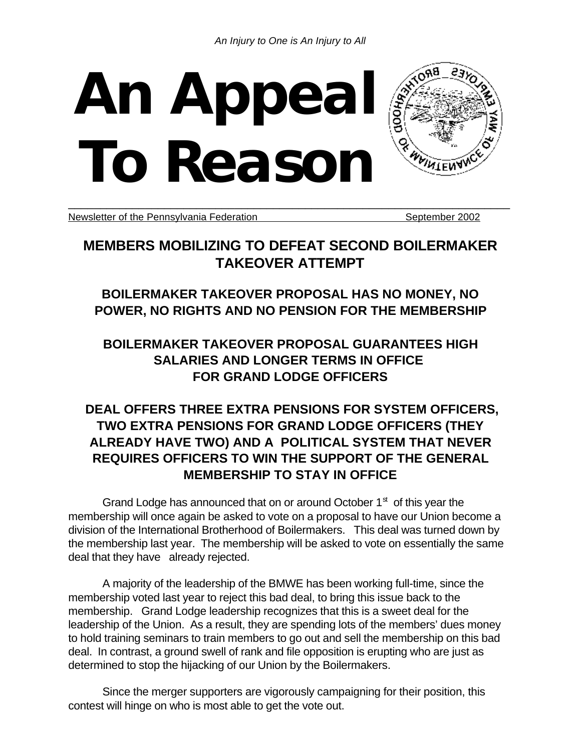# **An Appeal To Reason**

Newsletter of the Pennsylvania Federation Newsletter of the Pennsylvania Federation

# **MEMBERS MOBILIZING TO DEFEAT SECOND BOILERMAKER TAKEOVER ATTEMPT**

\_\_\_\_\_\_\_\_\_\_\_\_\_\_\_\_\_\_\_\_\_\_\_\_\_\_\_\_\_\_\_\_\_\_\_\_\_\_\_\_\_\_\_\_\_\_\_\_\_\_\_\_\_\_\_\_\_\_\_\_\_\_\_\_\_\_\_\_\_

## **BOILERMAKER TAKEOVER PROPOSAL HAS NO MONEY, NO POWER, NO RIGHTS AND NO PENSION FOR THE MEMBERSHIP**

# **BOILERMAKER TAKEOVER PROPOSAL GUARANTEES HIGH SALARIES AND LONGER TERMS IN OFFICE FOR GRAND LODGE OFFICERS**

# **DEAL OFFERS THREE EXTRA PENSIONS FOR SYSTEM OFFICERS, TWO EXTRA PENSIONS FOR GRAND LODGE OFFICERS (THEY ALREADY HAVE TWO) AND A POLITICAL SYSTEM THAT NEVER REQUIRES OFFICERS TO WIN THE SUPPORT OF THE GENERAL MEMBERSHIP TO STAY IN OFFICE**

Grand Lodge has announced that on or around October  $1<sup>st</sup>$  of this year the membership will once again be asked to vote on a proposal to have our Union become a division of the International Brotherhood of Boilermakers. This deal was turned down by the membership last year. The membership will be asked to vote on essentially the same deal that they have already rejected.

A majority of the leadership of the BMWE has been working full-time, since the membership voted last year to reject this bad deal, to bring this issue back to the membership. Grand Lodge leadership recognizes that this is a sweet deal for the leadership of the Union. As a result, they are spending lots of the members' dues money to hold training seminars to train members to go out and sell the membership on this bad deal. In contrast, a ground swell of rank and file opposition is erupting who are just as determined to stop the hijacking of our Union by the Boilermakers.

Since the merger supporters are vigorously campaigning for their position, this contest will hinge on who is most able to get the vote out.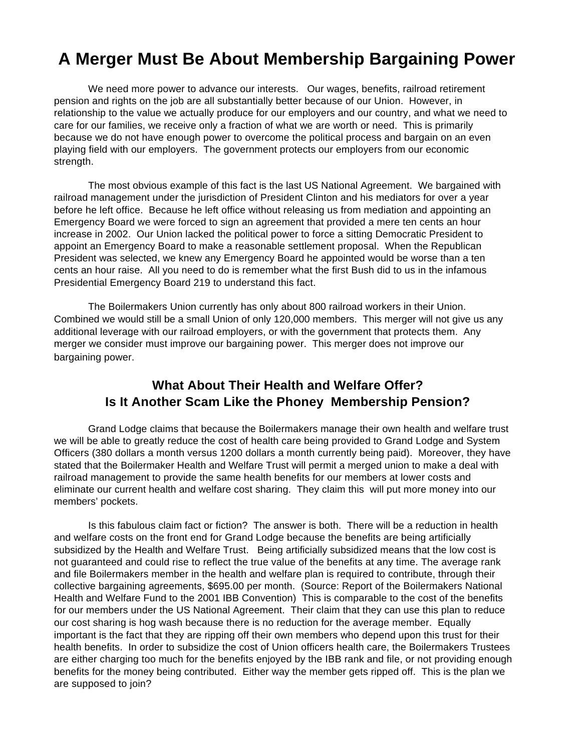# **A Merger Must Be About Membership Bargaining Power**

We need more power to advance our interests. Our wages, benefits, railroad retirement pension and rights on the job are all substantially better because of our Union. However, in relationship to the value we actually produce for our employers and our country, and what we need to care for our families, we receive only a fraction of what we are worth or need. This is primarily because we do not have enough power to overcome the political process and bargain on an even playing field with our employers. The government protects our employers from our economic strength.

The most obvious example of this fact is the last US National Agreement. We bargained with railroad management under the jurisdiction of President Clinton and his mediators for over a year before he left office. Because he left office without releasing us from mediation and appointing an Emergency Board we were forced to sign an agreement that provided a mere ten cents an hour increase in 2002. Our Union lacked the political power to force a sitting Democratic President to appoint an Emergency Board to make a reasonable settlement proposal. When the Republican President was selected, we knew any Emergency Board he appointed would be worse than a ten cents an hour raise. All you need to do is remember what the first Bush did to us in the infamous Presidential Emergency Board 219 to understand this fact.

The Boilermakers Union currently has only about 800 railroad workers in their Union. Combined we would still be a small Union of only 120,000 members. This merger will not give us any additional leverage with our railroad employers, or with the government that protects them. Any merger we consider must improve our bargaining power. This merger does not improve our bargaining power.

## **What About Their Health and Welfare Offer? Is It Another Scam Like the Phoney Membership Pension?**

Grand Lodge claims that because the Boilermakers manage their own health and welfare trust we will be able to greatly reduce the cost of health care being provided to Grand Lodge and System Officers (380 dollars a month versus 1200 dollars a month currently being paid). Moreover, they have stated that the Boilermaker Health and Welfare Trust will permit a merged union to make a deal with railroad management to provide the same health benefits for our members at lower costs and eliminate our current health and welfare cost sharing. They claim this will put more money into our members' pockets.

Is this fabulous claim fact or fiction? The answer is both. There will be a reduction in health and welfare costs on the front end for Grand Lodge because the benefits are being artificially subsidized by the Health and Welfare Trust. Being artificially subsidized means that the low cost is not guaranteed and could rise to reflect the true value of the benefits at any time. The average rank and file Boilermakers member in the health and welfare plan is required to contribute, through their collective bargaining agreements, \$695.00 per month. (Source: Report of the Boilermakers National Health and Welfare Fund to the 2001 IBB Convention) This is comparable to the cost of the benefits for our members under the US National Agreement. Their claim that they can use this plan to reduce our cost sharing is hog wash because there is no reduction for the average member. Equally important is the fact that they are ripping off their own members who depend upon this trust for their health benefits. In order to subsidize the cost of Union officers health care, the Boilermakers Trustees are either charging too much for the benefits enjoyed by the IBB rank and file, or not providing enough benefits for the money being contributed. Either way the member gets ripped off. This is the plan we are supposed to join?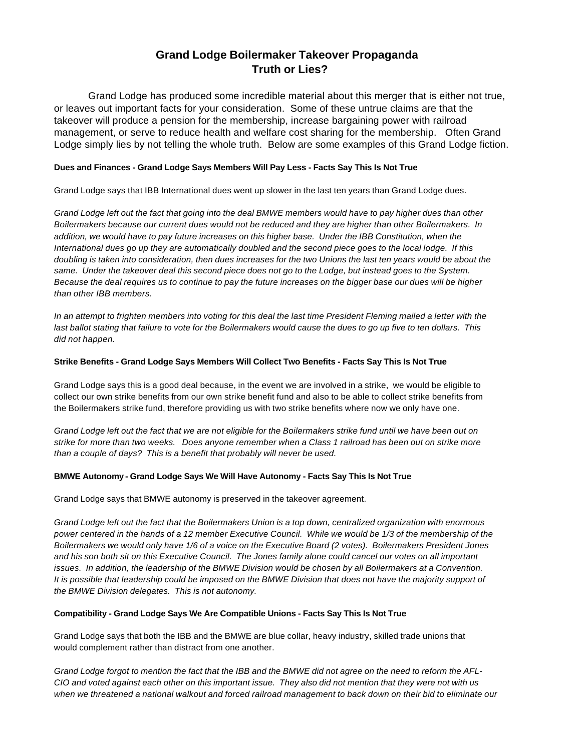## **Grand Lodge Boilermaker Takeover Propaganda Truth or Lies?**

Grand Lodge has produced some incredible material about this merger that is either not true, or leaves out important facts for your consideration. Some of these untrue claims are that the takeover will produce a pension for the membership, increase bargaining power with railroad management, or serve to reduce health and welfare cost sharing for the membership. Often Grand Lodge simply lies by not telling the whole truth. Below are some examples of this Grand Lodge fiction.

#### **Dues and Finances - Grand Lodge Says Members Will Pay Less - Facts Say This Is Not True**

Grand Lodge says that IBB International dues went up slower in the last ten years than Grand Lodge dues.

*Grand Lodge left out the fact that going into the deal BMWE members would have to pay higher dues than other Boilermakers because our current dues would not be reduced and they are higher than other Boilermakers. In addition, we would have to pay future increases on this higher base. Under the IBB Constitution, when the International dues go up they are automatically doubled and the second piece goes to the local lodge. If this doubling is taken into consideration, then dues increases for the two Unions the last ten years would be about the same. Under the takeover deal this second piece does not go to the Lodge, but instead goes to the System. Because the deal requires us to continue to pay the future increases on the bigger base our dues will be higher than other IBB members.* 

*In an attempt to frighten members into voting for this deal the last time President Fleming mailed a letter with the last ballot stating that failure to vote for the Boilermakers would cause the dues to go up five to ten dollars. This did not happen.*

#### **Strike Benefits - Grand Lodge Says Members Will Collect Two Benefits - Facts Say This Is Not True**

Grand Lodge says this is a good deal because, in the event we are involved in a strike, we would be eligible to collect our own strike benefits from our own strike benefit fund and also to be able to collect strike benefits from the Boilermakers strike fund, therefore providing us with two strike benefits where now we only have one.

*Grand Lodge left out the fact that we are not eligible for the Boilermakers strike fund until we have been out on strike for more than two weeks. Does anyone remember when a Class 1 railroad has been out on strike more than a couple of days? This is a benefit that probably will never be used.*

#### **BMWE Autonomy - Grand Lodge Says We Will Have Autonomy - Facts Say This Is Not True**

Grand Lodge says that BMWE autonomy is preserved in the takeover agreement.

*Grand Lodge left out the fact that the Boilermakers Union is a top down, centralized organization with enormous power centered in the hands of a 12 member Executive Council. While we would be 1/3 of the membership of the Boilermakers we would only have 1/6 of a voice on the Executive Board (2 votes). Boilermakers President Jones and his son both sit on this Executive Council. The Jones family alone could cancel our votes on all important issues. In addition, the leadership of the BMWE Division would be chosen by all Boilermakers at a Convention. It is possible that leadership could be imposed on the BMWE Division that does not have the majority support of the BMWE Division delegates. This is not autonomy.*

### **Compatibility - Grand Lodge Says We Are Compatible Unions - Facts Say This Is Not True**

Grand Lodge says that both the IBB and the BMWE are blue collar, heavy industry, skilled trade unions that would complement rather than distract from one another.

*Grand Lodge forgot to mention the fact that the IBB and the BMWE did not agree on the need to reform the AFL-CIO and voted against each other on this important issue. They also did not mention that they were not with us* when we threatened a national walkout and forced railroad management to back down on their bid to eliminate our